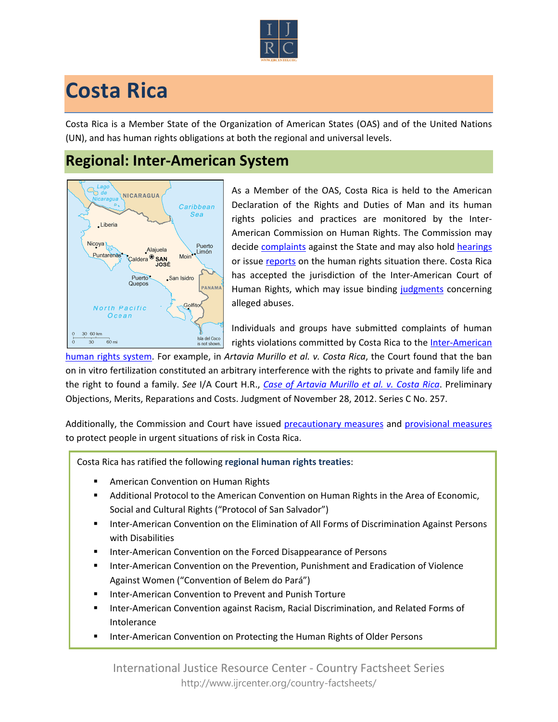

## **Costa Rica**

Costa Rica is a Member State of the Organization of American States (OAS) and of the United Nations (UN), and has human rights obligations at both the regional and universal levels.

## **Regional: Inter-American System**



As a Member of the OAS, Costa Rica is held to the American Declaration of the Rights and Duties of Man and its human rights policies and practices are monitored by the Inter-American Commission on Human Rights. The Commission may decide [complaints](http://www.oas.org/en/iachr/decisions/merits.asp) against the State and may also hold [hearings](http://www.oas.org/es/cidh/audiencias/advanced.aspx?lang=en) or issue [reports](http://www.oas.org/en/iachr/reports/country.asp) on the human rights situation there. Costa Rica has accepted the jurisdiction of the Inter-American Court of Human Rights, which may issue binding [judgments](http://www.corteidh.or.cr/cf/Jurisprudencia2/busqueda_casos_contenciosos.cfm?lang=en) concerning alleged abuses.

Individuals and groups have submitted complaints of human rights violations committed by Costa Rica to the [Inter-American](http://www.ijrcenter.org/regional/inter-american-system/) 

[human rights system.](http://www.ijrcenter.org/regional/inter-american-system/) For example, in *Artavia Murillo et al. v. Costa Rica*, the Court found that the ban on in vitro fertilization constituted an arbitrary interference with the rights to private and family life and the right to found a family. *See* I/A Court H.R., *[Case of Artavia Murillo et al. v. Costa Rica](http://www.corteidh.or.cr/docs/casos/articulos/seriec_257_ing.pdf)*. Preliminary Objections, Merits, Reparations and Costs. Judgment of November 28, 2012. Series C No. 257.

Additionally, the Commission and Court have issued [precautionary measures](http://www.oas.org/en/iachr/decisions/precautionary.asp) and [provisional measures](http://www.corteidh.or.cr/cf/Jurisprudencia2/busqueda_medidas_provisionales.cfm?lang=en) to protect people in urgent situations of risk in Costa Rica.

Costa Rica has ratified the following **regional human rights treaties**:

- American Convention on Human Rights
- Additional Protocol to the American Convention on Human Rights in the Area of Economic, Social and Cultural Rights ("Protocol of San Salvador")
- Inter-American Convention on the Elimination of All Forms of Discrimination Against Persons with Disabilities
- Inter-American Convention on the Forced Disappearance of Persons
- Inter-American Convention on the Prevention, Punishment and Eradication of Violence Against Women ("Convention of Belem do Pará")
- Inter-American Convention to Prevent and Punish Torture
- Inter-American Convention against Racism, Racial Discrimination, and Related Forms of Intolerance
- Inter-American Convention on Protecting the Human Rights of Older Persons